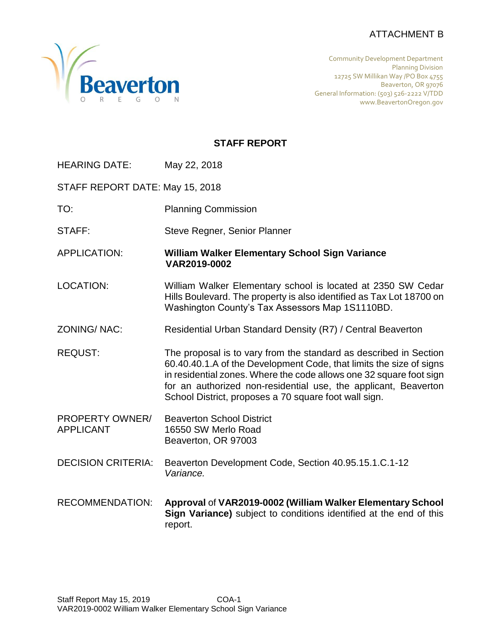# ATTACHMENT B



Community Development Department Planning Division 12725 SW Millikan Way /PO Box 4755 Beaverton, OR 97076 General Information: (503) 526-2222 V/TDD www.BeavertonOregon.gov

# **STAFF REPORT**

| <b>HEARING DATE:</b> | May 22, 2018 |
|----------------------|--------------|
|                      |              |

STAFF REPORT DATE: May 15, 2018

- TO: Planning Commission
- STAFF: Steve Regner, Senior Planner

APPLICATION: **William Walker Elementary School Sign Variance VAR2019-0002**

- LOCATION: William Walker Elementary school is located at 2350 SW Cedar Hills Boulevard. The property is also identified as Tax Lot 18700 on Washington County's Tax Assessors Map 1S1110BD.
- ZONING/ NAC: Residential Urban Standard Density (R7) / Central Beaverton
- REQUST: The proposal is to vary from the standard as described in Section 60.40.40.1.A of the Development Code, that limits the size of signs in residential zones. Where the code allows one 32 square foot sign for an authorized non-residential use, the applicant, Beaverton School District, proposes a 70 square foot wall sign.
- PROPERTY OWNER/ Beaverton School District APPLICANT 16550 SW Merlo Road Beaverton, OR 97003
- DECISION CRITERIA: Beaverton Development Code, Section 40.95.15.1.C.1-12 *Variance.*
- RECOMMENDATION: **Approval** of **VAR2019-0002 (William Walker Elementary School Sign Variance)** subject to conditions identified at the end of this report.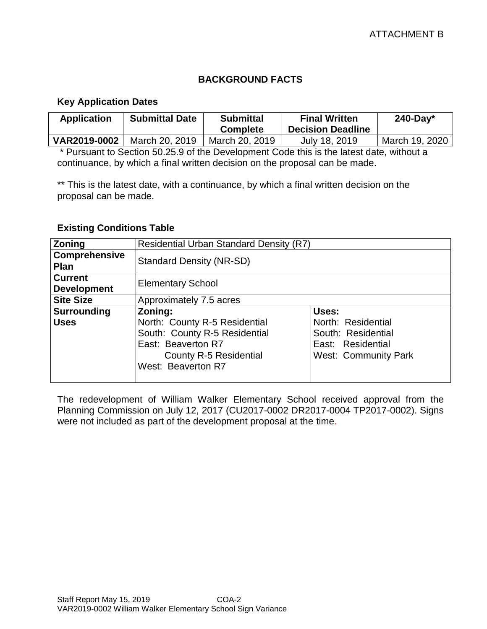# **BACKGROUND FACTS**

#### **Key Application Dates**

| <b>Application</b> | <b>Submittal Date</b> | <b>Submittal</b><br><b>Complete</b> | <b>Final Written</b><br><b>Decision Deadline</b> | $240$ -Day*    |
|--------------------|-----------------------|-------------------------------------|--------------------------------------------------|----------------|
| VAR2019-0002       | March 20, 2019        | March 20, 2019                      | July 18, 2019                                    | March 19, 2020 |

\* Pursuant to Section 50.25.9 of the Development Code this is the latest date, without a continuance, by which a final written decision on the proposal can be made.

\*\* This is the latest date, with a continuance, by which a final written decision on the proposal can be made.

#### **Existing Conditions Table**

| Zoning                               | <b>Residential Urban Standard Density (R7)</b>                                                                                       |                                                                                              |  |
|--------------------------------------|--------------------------------------------------------------------------------------------------------------------------------------|----------------------------------------------------------------------------------------------|--|
| Comprehensive<br>Plan                | <b>Standard Density (NR-SD)</b>                                                                                                      |                                                                                              |  |
| <b>Current</b><br><b>Development</b> | <b>Elementary School</b>                                                                                                             |                                                                                              |  |
| <b>Site Size</b>                     | Approximately 7.5 acres                                                                                                              |                                                                                              |  |
| <b>Surrounding</b>                   | Zoning:                                                                                                                              | Uses:                                                                                        |  |
| <b>Uses</b>                          | North: County R-5 Residential<br>South: County R-5 Residential<br>East: Beaverton R7<br>County R-5 Residential<br>West: Beaverton R7 | North: Residential<br>South: Residential<br>East: Residential<br><b>West: Community Park</b> |  |

The redevelopment of William Walker Elementary School received approval from the Planning Commission on July 12, 2017 (CU2017-0002 DR2017-0004 TP2017-0002). Signs were not included as part of the development proposal at the time.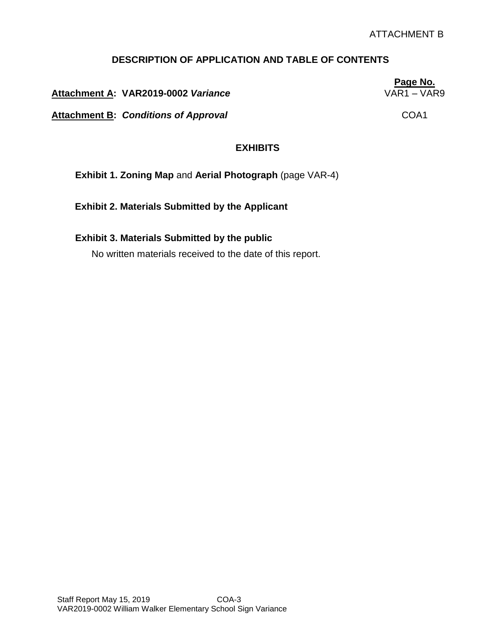# **DESCRIPTION OF APPLICATION AND TABLE OF CONTENTS**

**Attachment A: VAR2019-0002** *Variance* VAR1 – VAR9

Attachment B: Conditions of Approval **COA1** 

## **EXHIBITS**

**Exhibit 1. Zoning Map** and **Aerial Photograph** (page VAR-4)

**Exhibit 2. Materials Submitted by the Applicant**

#### **Exhibit 3. Materials Submitted by the public**

No written materials received to the date of this report.

Staff Report May 15, 2019 COA-3 VAR2019-0002 William Walker Elementary School Sign Variance **Page No.**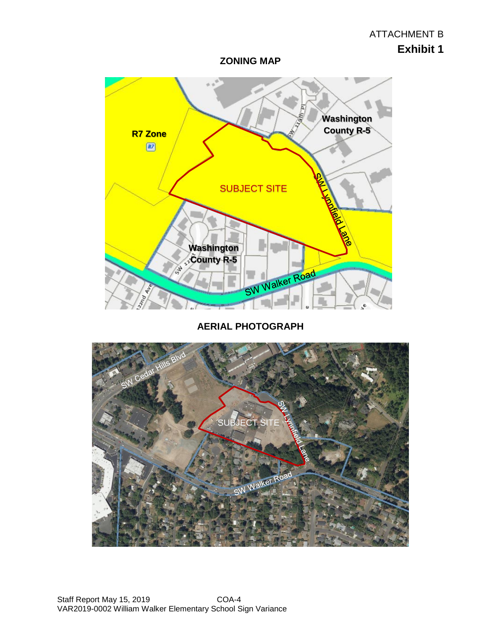**ZONING MAP**



**AERIAL PHOTOGRAPH**

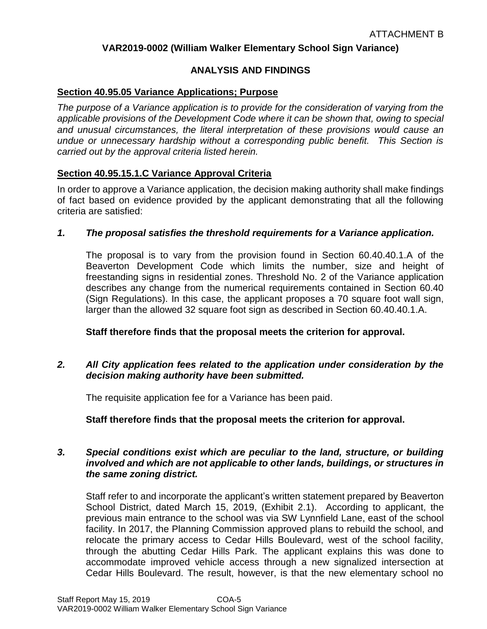## **VAR2019-0002 (William Walker Elementary School Sign Variance)**

## **ANALYSIS AND FINDINGS**

#### **Section 40.95.05 Variance Applications; Purpose**

*The purpose of a Variance application is to provide for the consideration of varying from the applicable provisions of the Development Code where it can be shown that, owing to special and unusual circumstances, the literal interpretation of these provisions would cause an undue or unnecessary hardship without a corresponding public benefit. This Section is carried out by the approval criteria listed herein.*

## **Section 40.95.15.1.C Variance Approval Criteria**

In order to approve a Variance application, the decision making authority shall make findings of fact based on evidence provided by the applicant demonstrating that all the following criteria are satisfied:

#### *1. The proposal satisfies the threshold requirements for a Variance application.*

The proposal is to vary from the provision found in Section 60.40.40.1.A of the Beaverton Development Code which limits the number, size and height of freestanding signs in residential zones. Threshold No. 2 of the Variance application describes any change from the numerical requirements contained in Section 60.40 (Sign Regulations). In this case, the applicant proposes a 70 square foot wall sign, larger than the allowed 32 square foot sign as described in Section 60.40.40.1.A.

#### **Staff therefore finds that the proposal meets the criterion for approval.**

#### *2. All City application fees related to the application under consideration by the decision making authority have been submitted.*

The requisite application fee for a Variance has been paid.

**Staff therefore finds that the proposal meets the criterion for approval.**

#### *3. Special conditions exist which are peculiar to the land, structure, or building involved and which are not applicable to other lands, buildings, or structures in the same zoning district.*

Staff refer to and incorporate the applicant's written statement prepared by Beaverton School District, dated March 15, 2019, (Exhibit 2.1). According to applicant, the previous main entrance to the school was via SW Lynnfield Lane, east of the school facility. In 2017, the Planning Commission approved plans to rebuild the school, and relocate the primary access to Cedar Hills Boulevard, west of the school facility, through the abutting Cedar Hills Park. The applicant explains this was done to accommodate improved vehicle access through a new signalized intersection at Cedar Hills Boulevard. The result, however, is that the new elementary school no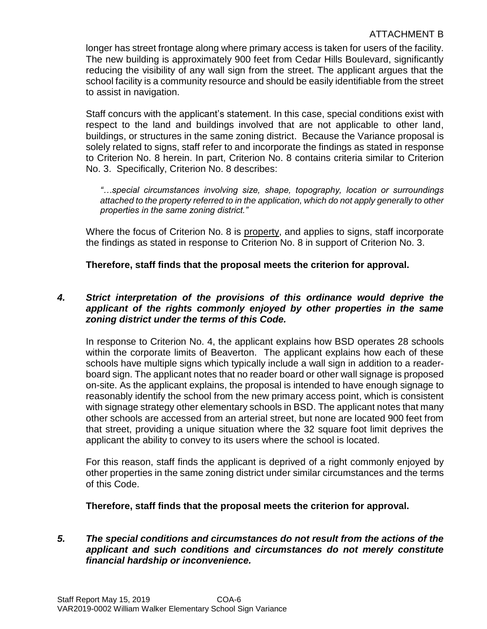longer has street frontage along where primary access is taken for users of the facility. The new building is approximately 900 feet from Cedar Hills Boulevard, significantly reducing the visibility of any wall sign from the street. The applicant argues that the school facility is a community resource and should be easily identifiable from the street to assist in navigation.

Staff concurs with the applicant's statement. In this case, special conditions exist with respect to the land and buildings involved that are not applicable to other land, buildings, or structures in the same zoning district. Because the Variance proposal is solely related to signs, staff refer to and incorporate the findings as stated in response to Criterion No. 8 herein. In part, Criterion No. 8 contains criteria similar to Criterion No. 3. Specifically, Criterion No. 8 describes:

*"…special circumstances involving size, shape, topography, location or surroundings attached to the property referred to in the application, which do not apply generally to other properties in the same zoning district."*

Where the focus of Criterion No. 8 is property, and applies to signs, staff incorporate the findings as stated in response to Criterion No. 8 in support of Criterion No. 3.

**Therefore, staff finds that the proposal meets the criterion for approval.**

# *4. Strict interpretation of the provisions of this ordinance would deprive the applicant of the rights commonly enjoyed by other properties in the same zoning district under the terms of this Code.*

In response to Criterion No. 4, the applicant explains how BSD operates 28 schools within the corporate limits of Beaverton. The applicant explains how each of these schools have multiple signs which typically include a wall sign in addition to a readerboard sign. The applicant notes that no reader board or other wall signage is proposed on-site. As the applicant explains, the proposal is intended to have enough signage to reasonably identify the school from the new primary access point, which is consistent with signage strategy other elementary schools in BSD. The applicant notes that many other schools are accessed from an arterial street, but none are located 900 feet from that street, providing a unique situation where the 32 square foot limit deprives the applicant the ability to convey to its users where the school is located.

For this reason, staff finds the applicant is deprived of a right commonly enjoyed by other properties in the same zoning district under similar circumstances and the terms of this Code.

**Therefore, staff finds that the proposal meets the criterion for approval.**

## *5. The special conditions and circumstances do not result from the actions of the applicant and such conditions and circumstances do not merely constitute financial hardship or inconvenience.*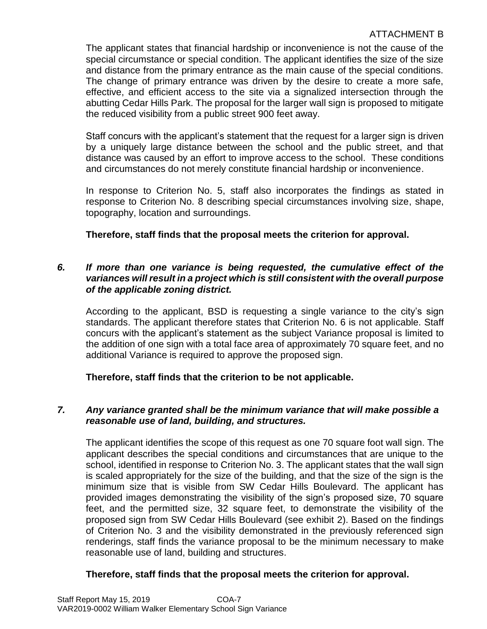The applicant states that financial hardship or inconvenience is not the cause of the special circumstance or special condition. The applicant identifies the size of the size and distance from the primary entrance as the main cause of the special conditions. The change of primary entrance was driven by the desire to create a more safe, effective, and efficient access to the site via a signalized intersection through the abutting Cedar Hills Park. The proposal for the larger wall sign is proposed to mitigate the reduced visibility from a public street 900 feet away.

Staff concurs with the applicant's statement that the request for a larger sign is driven by a uniquely large distance between the school and the public street, and that distance was caused by an effort to improve access to the school. These conditions and circumstances do not merely constitute financial hardship or inconvenience.

In response to Criterion No. 5, staff also incorporates the findings as stated in response to Criterion No. 8 describing special circumstances involving size, shape, topography, location and surroundings.

# **Therefore, staff finds that the proposal meets the criterion for approval.**

## *6. If more than one variance is being requested, the cumulative effect of the variances will result in a project which is still consistent with the overall purpose of the applicable zoning district.*

According to the applicant, BSD is requesting a single variance to the city's sign standards. The applicant therefore states that Criterion No. 6 is not applicable. Staff concurs with the applicant's statement as the subject Variance proposal is limited to the addition of one sign with a total face area of approximately 70 square feet, and no additional Variance is required to approve the proposed sign.

# **Therefore, staff finds that the criterion to be not applicable.**

## *7. Any variance granted shall be the minimum variance that will make possible a reasonable use of land, building, and structures.*

The applicant identifies the scope of this request as one 70 square foot wall sign. The applicant describes the special conditions and circumstances that are unique to the school, identified in response to Criterion No. 3. The applicant states that the wall sign is scaled appropriately for the size of the building, and that the size of the sign is the minimum size that is visible from SW Cedar Hills Boulevard. The applicant has provided images demonstrating the visibility of the sign's proposed size, 70 square feet, and the permitted size, 32 square feet, to demonstrate the visibility of the proposed sign from SW Cedar Hills Boulevard (see exhibit 2). Based on the findings of Criterion No. 3 and the visibility demonstrated in the previously referenced sign renderings, staff finds the variance proposal to be the minimum necessary to make reasonable use of land, building and structures.

## **Therefore, staff finds that the proposal meets the criterion for approval.**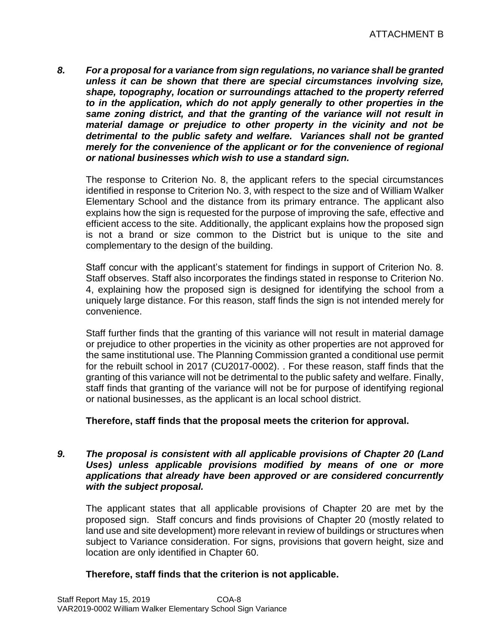*8. For a proposal for a variance from sign regulations, no variance shall be granted unless it can be shown that there are special circumstances involving size, shape, topography, location or surroundings attached to the property referred to in the application, which do not apply generally to other properties in the same zoning district, and that the granting of the variance will not result in material damage or prejudice to other property in the vicinity and not be detrimental to the public safety and welfare. Variances shall not be granted merely for the convenience of the applicant or for the convenience of regional or national businesses which wish to use a standard sign.*

The response to Criterion No. 8, the applicant refers to the special circumstances identified in response to Criterion No. 3, with respect to the size and of William Walker Elementary School and the distance from its primary entrance. The applicant also explains how the sign is requested for the purpose of improving the safe, effective and efficient access to the site. Additionally, the applicant explains how the proposed sign is not a brand or size common to the District but is unique to the site and complementary to the design of the building.

Staff concur with the applicant's statement for findings in support of Criterion No. 8. Staff observes. Staff also incorporates the findings stated in response to Criterion No. 4, explaining how the proposed sign is designed for identifying the school from a uniquely large distance. For this reason, staff finds the sign is not intended merely for convenience.

Staff further finds that the granting of this variance will not result in material damage or prejudice to other properties in the vicinity as other properties are not approved for the same institutional use. The Planning Commission granted a conditional use permit for the rebuilt school in 2017 (CU2017-0002). . For these reason, staff finds that the granting of this variance will not be detrimental to the public safety and welfare. Finally, staff finds that granting of the variance will not be for purpose of identifying regional or national businesses, as the applicant is an local school district.

## **Therefore, staff finds that the proposal meets the criterion for approval.**

#### *9. The proposal is consistent with all applicable provisions of Chapter 20 (Land Uses) unless applicable provisions modified by means of one or more applications that already have been approved or are considered concurrently with the subject proposal.*

The applicant states that all applicable provisions of Chapter 20 are met by the proposed sign. Staff concurs and finds provisions of Chapter 20 (mostly related to land use and site development) more relevant in review of buildings or structures when subject to Variance consideration. For signs, provisions that govern height, size and location are only identified in Chapter 60.

## **Therefore, staff finds that the criterion is not applicable.**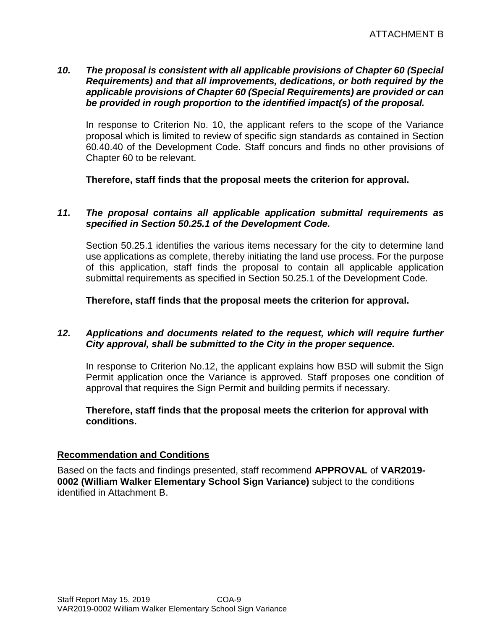## *10. The proposal is consistent with all applicable provisions of Chapter 60 (Special Requirements) and that all improvements, dedications, or both required by the applicable provisions of Chapter 60 (Special Requirements) are provided or can be provided in rough proportion to the identified impact(s) of the proposal.*

In response to Criterion No. 10, the applicant refers to the scope of the Variance proposal which is limited to review of specific sign standards as contained in Section 60.40.40 of the Development Code. Staff concurs and finds no other provisions of Chapter 60 to be relevant.

**Therefore, staff finds that the proposal meets the criterion for approval.**

#### *11. The proposal contains all applicable application submittal requirements as specified in Section 50.25.1 of the Development Code.*

Section 50.25.1 identifies the various items necessary for the city to determine land use applications as complete, thereby initiating the land use process. For the purpose of this application, staff finds the proposal to contain all applicable application submittal requirements as specified in Section 50.25.1 of the Development Code.

**Therefore, staff finds that the proposal meets the criterion for approval.**

## *12. Applications and documents related to the request, which will require further City approval, shall be submitted to the City in the proper sequence.*

In response to Criterion No.12, the applicant explains how BSD will submit the Sign Permit application once the Variance is approved. Staff proposes one condition of approval that requires the Sign Permit and building permits if necessary.

## **Therefore, staff finds that the proposal meets the criterion for approval with conditions.**

#### **Recommendation and Conditions**

Based on the facts and findings presented, staff recommend **APPROVAL** of **VAR2019- 0002 (William Walker Elementary School Sign Variance)** subject to the conditions identified in Attachment B.